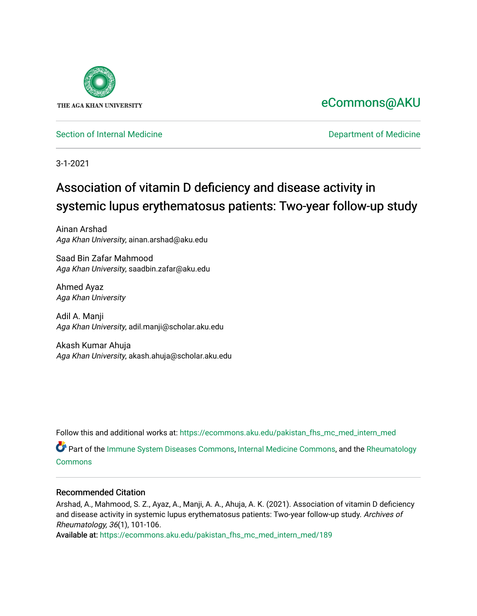

# [eCommons@AKU](https://ecommons.aku.edu/)

[Section of Internal Medicine](https://ecommons.aku.edu/pakistan_fhs_mc_med_intern_med) **Department of Medicine** Department of Medicine

3-1-2021

# Association of vitamin D deficiency and disease activity in systemic lupus erythematosus patients: Two-year follow-up study

Ainan Arshad Aga Khan University, ainan.arshad@aku.edu

Saad Bin Zafar Mahmood Aga Khan University, saadbin.zafar@aku.edu

Ahmed Ayaz Aga Khan University

Adil A. Manji Aga Khan University, adil.manji@scholar.aku.edu

Akash Kumar Ahuja Aga Khan University, akash.ahuja@scholar.aku.edu

Follow this and additional works at: [https://ecommons.aku.edu/pakistan\\_fhs\\_mc\\_med\\_intern\\_med](https://ecommons.aku.edu/pakistan_fhs_mc_med_intern_med?utm_source=ecommons.aku.edu%2Fpakistan_fhs_mc_med_intern_med%2F189&utm_medium=PDF&utm_campaign=PDFCoverPages) 

Part of the [Immune System Diseases Commons,](http://network.bepress.com/hgg/discipline/933?utm_source=ecommons.aku.edu%2Fpakistan_fhs_mc_med_intern_med%2F189&utm_medium=PDF&utm_campaign=PDFCoverPages) [Internal Medicine Commons,](http://network.bepress.com/hgg/discipline/1356?utm_source=ecommons.aku.edu%2Fpakistan_fhs_mc_med_intern_med%2F189&utm_medium=PDF&utm_campaign=PDFCoverPages) and the [Rheumatology](http://network.bepress.com/hgg/discipline/1093?utm_source=ecommons.aku.edu%2Fpakistan_fhs_mc_med_intern_med%2F189&utm_medium=PDF&utm_campaign=PDFCoverPages)  [Commons](http://network.bepress.com/hgg/discipline/1093?utm_source=ecommons.aku.edu%2Fpakistan_fhs_mc_med_intern_med%2F189&utm_medium=PDF&utm_campaign=PDFCoverPages)

## Recommended Citation

Arshad, A., Mahmood, S. Z., Ayaz, A., Manji, A. A., Ahuja, A. K. (2021). Association of vitamin D deficiency and disease activity in systemic lupus erythematosus patients: Two-year follow-up study. Archives of Rheumatology, 36(1), 101-106.

Available at: [https://ecommons.aku.edu/pakistan\\_fhs\\_mc\\_med\\_intern\\_med/189](https://ecommons.aku.edu/pakistan_fhs_mc_med_intern_med/189)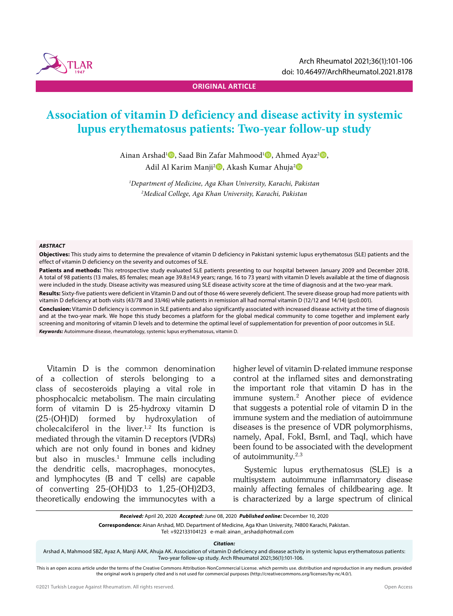

**ORIGINAL ARTICLE**

## **Association of vitamin D deficiency and disease activity in systemic lupus erythematosus patients: Two-year follow-up study**

Ainan Arshad<sup>1</sup><sup>®</sup>, Saad Bin Zafar Mahmood<sup>1</sup><sup>®</sup>, Ahmed Ayaz<sup>2</sup><sup>®</sup>, Adil Al Karim Manji<sup>2</sup>D, Akash Kumar Ahuja<sup>2</sup>D

*1 Department of Medicine, Aga Khan University, Karachi, Pakistan 2 Medical College, Aga Khan University, Karachi, Pakistan*

#### *ABSTRACT*

**Objectives:** This study aims to determine the prevalence of vitamin D deficiency in Pakistani systemic lupus erythematosus (SLE) patients and the effect of vitamin D deficiency on the severity and outcomes of SLE.

Patients and methods: This retrospective study evaluated SLE patients presenting to our hospital between January 2009 and December 2018. A total of 98 patients (13 males, 85 females; mean age 39.8±14.9 years; range, 16 to 73 years) with vitamin D levels available at the time of diagnosis were included in the study. Disease activity was measured using SLE disease activity score at the time of diagnosis and at the two-year mark.

Results: Sixty-five patients were deficient in Vitamin D and out of those 46 were severely deficient. The severe disease group had more patients with vitamin D deficiency at both visits (43/78 and 33/46) while patients in remission all had normal vitamin D (12/12 and 14/14) (p≤0.001).

**Conclusion:** Vitamin D deficiency is common in SLE patients and also significantly associated with increased disease activity at the time of diagnosis and at the two-year mark. We hope this study becomes a platform for the global medical community to come together and implement early screening and monitoring of vitamin D levels and to determine the optimal level of supplementation for prevention of poor outcomes in SLE. *Keywords:* Autoimmune disease, rheumatology, systemic lupus erythematosus, vitamin D.

Vitamin D is the common denomination of a collection of sterols belonging to a class of secosteroids playing a vital role in phosphocalcic metabolism. The main circulating form of vitamin D is 25-hydroxy vitamin D (25-(OH)D) formed by hydroxylation of cholecalciferol in the liver.<sup>1,2</sup> Its function is mediated through the vitamin D receptors (VDRs) which are not only found in bones and kidney but also in muscles.<sup>1</sup> Immune cells including the dendritic cells, macrophages, monocytes, and lymphocytes (B and T cells) are capable of converting 25-(OH)D3 to 1,25-(OH)2D3, theoretically endowing the immunocytes with a higher level of vitamin D-related immune response control at the inflamed sites and demonstrating the important role that vitamin D has in the immune system.2 Another piece of evidence that suggests a potential role of vitamin D in the immune system and the mediation of autoimmune diseases is the presence of VDR polymorphisms, namely, ApaI, FokI, BsmI, and TaqI, which have been found to be associated with the development of autoimmunity.<sup>2,3</sup>

Systemic lupus erythematosus (SLE) is a multisystem autoimmune inflammatory disease mainly affecting females of childbearing age. It is characterized by a large spectrum of clinical

Tel: +922133104123 e-mail: ainan\_arshad@hotmail.com

*Citation:*

Arshad A, Mahmood SBZ, Ayaz A, Manji AAK, Ahuja AK. Association of vitamin D deficiency and disease activity in systemic lupus erythematosus patients: Two-year follow-up study. Arch Rheumatol 2021;36(1):101-106.

This is an open access article under the terms of the Creative Commons Attribution-NonCommercial License. which permits use. distribution and reproduction in any medium. provided the original work is properly cited and is not used for commercial purposes (http://creativecommons.org/licenses/by-nc/4.0/).

*Received:* April 20, 2020 *Accepted:* June 08, 2020 *Published online:* December 10, 2020

**Correspondence:** Ainan Arshad, MD. Department of Medicine, Aga Khan University, 74800 Karachi, Pakistan.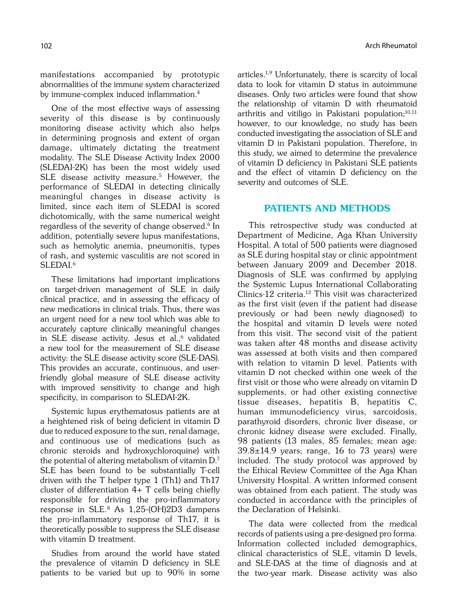manifestations accompanied by prototypic abnormalities of the immune system characterized by immune-complex induced inflammation.4

One of the most effective ways of assessing severity of this disease is by continuously monitoring disease activity which also helps in determining prognosis and extent of organ damage, ultimately dictating the treatment modality. The SLE Disease Activity Index 2000 (SLEDAI-2K) has been the most widely used SLE disease activity measure.<sup>5</sup> However, the performance of SLEDAI in detecting clinically meaningful changes in disease activity is limited, since each item of SLEDAI is scored dichotomically, with the same numerical weight regardless of the severity of change observed.<sup>6</sup> In addition, potentially severe lupus manifestations, such as hemolytic anemia, pneumonitis, types of rash, and systemic vasculitis are not scored in SLEDAI.<sup>6</sup>

These limitations had important implications on target-driven management of SLE in daily clinical practice, and in assessing the efficacy of new medications in clinical trials. Thus, there was an urgent need for a new tool which was able to accurately capture clinically meaningful changes in SLE disease activity. Jesus et al.,<sup>6</sup> validated a new tool for the measurement of SLE disease activity: the SLE disease activity score (SLE-DAS). This provides an accurate, continuous, and userfriendly global measure of SLE disease activity with improved sensitivity to change and high specificity, in comparison to SLEDAI-2K.

Systemic lupus erythematosus patients are at a heightened risk of being deficient in vitamin D due to reduced exposure to the sun, renal damage, and continuous use of medications (such as chronic steroids and hydroxychloroquine) with the potential of altering metabolism of vitamin D.7 SLE has been found to be substantially T-cell driven with the T helper type 1 (Th1) and Th17 cluster of differentiation 4+ T cells being chiefly responsible for driving the pro-inflammatory response in SLE.8 As 1,25-(OH)2D3 dampens the pro-inflammatory response of Th17, it is theoretically possible to suppress the SLE disease with vitamin D treatment.

Studies from around the world have stated the prevalence of vitamin D deficiency in SLE patients to be varied but up to 90% in some articles.1,9 Unfortunately, there is scarcity of local data to look for vitamin D status in autoimmune diseases. Only two articles were found that show the relationship of vitamin D with rheumatoid arthritis and vitiligo in Pakistani population; $10,11$ however, to our knowledge, no study has been conducted investigating the association of SLE and vitamin D in Pakistani population. Therefore, in this study, we aimed to determine the prevalence of vitamin D deficiency in Pakistani SLE patients and the effect of vitamin D deficiency on the severity and outcomes of SLE.

### PATIENTS AND METHODS

This retrospective study was conducted at Department of Medicine, Aga Khan University Hospital. A total of 500 patients were diagnosed as SLE during hospital stay or clinic appointment between January 2009 and December 2018. Diagnosis of SLE was confirmed by applying the Systemic Lupus International Collaborating Clinics-12 criteria.12 This visit was characterized as the first visit (even if the patient had disease previously or had been newly diagnosed) to the hospital and vitamin D levels were noted from this visit. The second visit of the patient was taken after 48 months and disease activity was assessed at both visits and then compared with relation to vitamin D level. Patients with vitamin D not checked within one week of the first visit or those who were already on vitamin D supplements, or had other existing connective tissue diseases, hepatitis B, hepatitis C, human immunodeficiency virus, sarcoidosis, parathyroid disorders, chronic liver disease, or chronic kidney disease were excluded. Finally, 98 patients (13 males, 85 females; mean age:  $39.8 \pm 14.9$  years; range, 16 to 73 years) were included. The study protocol was approved by the Ethical Review Committee of the Aga Khan University Hospital. A written informed consent was obtained from each patient. The study was conducted in accordance with the principles of the Declaration of Helsinki.

The data were collected from the medical records of patients using a pre-designed pro forma. Information collected included demographics, clinical characteristics of SLE, vitamin D levels, and SLE-DAS at the time of diagnosis and at the two-year mark. Disease activity was also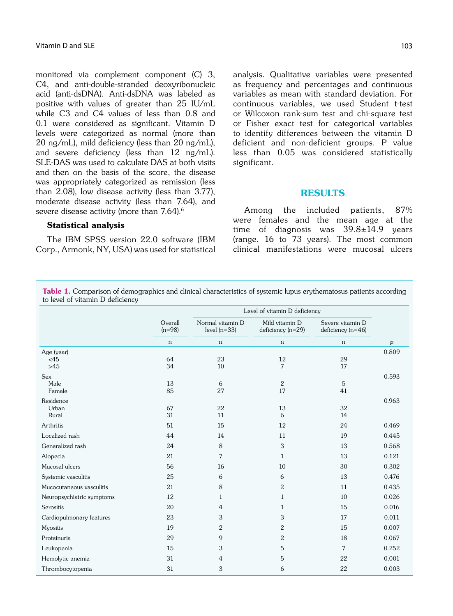monitored via complement component (C) 3, C4, and anti-double-stranded deoxyribonucleic acid (anti-dsDNA). Anti-dsDNA was labeled as positive with values of greater than 25 IU/mL while C3 and C4 values of less than 0.8 and 0.1 were considered as significant. Vitamin D levels were categorized as normal (more than 20 ng/mL), mild deficiency (less than 20 ng/mL), and severe deficiency (less than 12 ng/mL). SLE-DAS was used to calculate DAS at both visits and then on the basis of the score, the disease was appropriately categorized as remission (less than 2.08), low disease activity (less than 3.77), moderate disease activity (less than 7.64), and severe disease activity (more than 7.64).<sup>6</sup>

#### Statistical analysis

The IBM SPSS version 22.0 software (IBM Corp., Armonk, NY, USA) was used for statistical analysis. Qualitative variables were presented as frequency and percentages and continuous variables as mean with standard deviation. For continuous variables, we used Student t-test or Wilcoxon rank-sum test and chi-square test or Fisher exact test for categorical variables to identify differences between the vitamin D deficient and non-deficient groups. P value less than 0.05 was considered statistically significant.

#### RESULTS

Among the included patients, 87% were females and the mean age at the time of diagnosis was 39.8±14.9 years (range, 16 to 73 years). The most common clinical manifestations were mucosal ulcers

Table 1. Comparison of demographics and clinical characteristics of systemic lupus erythematosus patients according to level of vitamin D deficiency

|                              |                     | Level of vitamin D deficiency      |                                     |                                         |       |
|------------------------------|---------------------|------------------------------------|-------------------------------------|-----------------------------------------|-------|
|                              | Overall<br>$(n=98)$ | Normal vitamin D<br>level $(n=33)$ | Mild vitamin D<br>deficiency (n=29) | Severe vitamin D<br>deficiency $(n=46)$ |       |
|                              | $\mathsf{n}$        | $\mathsf{n}$                       | n                                   | $\mathsf{n}$                            | p     |
| Age (year)<br><45<br>$>45$   | 64<br>34            | 23<br>10                           | 12<br>7                             | 29<br>17                                | 0.809 |
| <b>Sex</b><br>Male<br>Female | 13<br>85            | 6<br>27                            | $\overline{2}$<br>17                | 5<br>41                                 | 0.593 |
| Residence<br>Urban<br>Rural  | 67<br>31            | 22<br>11                           | 13<br>6                             | 32<br>14                                | 0.963 |
| Arthritis                    | 51                  | 15                                 | 12                                  | 24                                      | 0.469 |
| Localized rash               | 44                  | 14                                 | 11                                  | 19                                      | 0.445 |
| Generalized rash             | 24                  | 8                                  | 3                                   | 13                                      | 0.568 |
| Alopecia                     | 21                  | 7                                  | $\mathbf{1}$                        | 13                                      | 0.121 |
| Mucosal ulcers               | 56                  | 16                                 | 10                                  | 30                                      | 0.302 |
| Systemic vasculitis          | 25                  | 6                                  | 6                                   | 13                                      | 0.476 |
| Mucocutaneous vasculitis     | 21                  | 8                                  | $\overline{2}$                      | 11                                      | 0.435 |
| Neuropsychiatric symptoms    | 12                  | 1                                  | 1                                   | 10                                      | 0.026 |
| Serositis                    | 20                  | 4                                  | $\mathbf{1}$                        | 15                                      | 0.016 |
| Cardiopulmonary features     | 23                  | 3                                  | 3                                   | 17                                      | 0.011 |
| Myositis                     | 19                  | $\mathbf{2}$                       | $\overline{2}$                      | 15                                      | 0.007 |
| Proteinuria                  | 29                  | 9                                  | $\overline{2}$                      | 18                                      | 0.067 |
| Leukopenia                   | 15                  | 3                                  | 5                                   | 7                                       | 0.252 |
| Hemolytic anemia             | 31                  | 4                                  | 5                                   | 22                                      | 0.001 |
| Thrombocytopenia             | 31                  | 3                                  | 6                                   | 22                                      | 0.003 |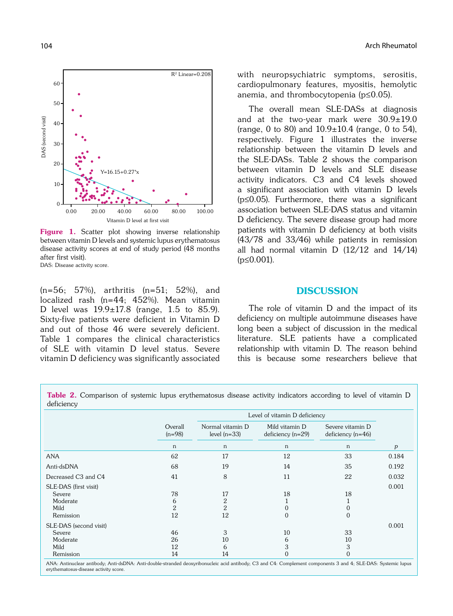

Figure 1. Scatter plot showing inverse relationship between vitamin D levels and systemic lupus erythematosus disease activity scores at end of study period (48 months after first visit). DAS: Disease activity score.

(n=56; 57%), arthritis (n=51; 52%), and localized rash (n=44; 452%). Mean vitamin D level was 19.9±17.8 (range, 1.5 to 85.9). Sixty-five patients were deficient in Vitamin D and out of those 46 were severely deficient. Table 1 compares the clinical characteristics of SLE with vitamin D level status. Severe vitamin D deficiency was significantly associated with neuropsychiatric symptoms, serositis, cardiopulmonary features, myositis, hemolytic anemia, and thrombocytopenia (p≤0.05).

The overall mean SLE-DASs at diagnosis and at the two-year mark were 30.9±19.0 (range, 0 to 80) and  $10.9 \pm 10.4$  (range, 0 to 54), respectively. Figure 1 illustrates the inverse relationship between the vitamin D levels and the SLE-DASs. Table 2 shows the comparison between vitamin D levels and SLE disease activity indicators. C3 and C4 levels showed a significant association with vitamin D levels (p≤0.05). Furthermore, there was a significant association between SLE-DAS status and vitamin D deficiency. The severe disease group had more patients with vitamin D deficiency at both visits (43/78 and 33/46) while patients in remission all had normal vitamin  $D(12/12)$  and  $14/14$  $(p \le 0.001)$ .

#### **DISCUSSION**

The role of vitamin D and the impact of its deficiency on multiple autoimmune diseases have long been a subject of discussion in the medical literature. SLE patients have a complicated relationship with vitamin D. The reason behind this is because some researchers believe that

Table 2. Comparison of systemic lupus erythematosus disease activity indicators according to level of vitamin D deficiency

|                                                                   |                      | Level of vitamin D deficiency      |                                       |                                         |       |
|-------------------------------------------------------------------|----------------------|------------------------------------|---------------------------------------|-----------------------------------------|-------|
|                                                                   | Overall<br>$(n=98)$  | Normal vitamin D<br>level $(n=33)$ | Mild vitamin D<br>$deficiency (n=29)$ | Severe vitamin D<br>$deficiency (n=46)$ |       |
|                                                                   | n                    | n                                  | n                                     | n                                       | p     |
| <b>ANA</b>                                                        | 62                   | 17                                 | 12                                    | 33                                      | 0.184 |
| Anti-dsDNA                                                        | 68                   | 19                                 | 14                                    | 35                                      | 0.192 |
| Decreased C <sub>3</sub> and C <sub>4</sub>                       | 41                   | 8                                  | 11                                    | 22                                      | 0.032 |
| SLE-DAS (first visit)<br>Severe<br>Moderate<br>Mild<br>Remission  | 78<br>6<br>2<br>12   | 17<br>2<br>$\overline{2}$<br>12    | 18<br>0<br>$\overline{0}$             | 18<br>$\Omega$<br>$\mathbf{0}$          | 0.001 |
| SLE-DAS (second visit)<br>Severe<br>Moderate<br>Mild<br>Remission | 46<br>26<br>12<br>14 | 3<br>10<br>6<br>14                 | 10<br>6<br>3<br>$\Omega$              | 33<br>10<br>3<br>$\mathbf{0}$           | 0.001 |

ANA: Antinuclear antibody; Anti-dsDNA: Anti-double-stranded deoxyribonucleic acid antibody; C3 and C4: Complement components 3 and 4; SLE-DAS: Systemic lupus erythematosus-disease activity score.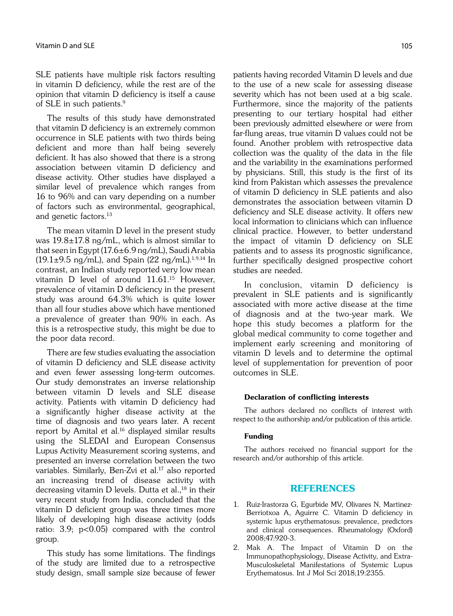SLE patients have multiple risk factors resulting in vitamin D deficiency, while the rest are of the opinion that vitamin D deficiency is itself a cause of SLE in such patients.<sup>9</sup>

The results of this study have demonstrated that vitamin D deficiency is an extremely common occurrence in SLE patients with two thirds being deficient and more than half being severely deficient. It has also showed that there is a strong association between vitamin D deficiency and disease activity. Other studies have displayed a similar level of prevalence which ranges from 16 to 96% and can vary depending on a number of factors such as environmental, geographical, and genetic factors.13

The mean vitamin D level in the present study was 19.8±17.8 ng/mL, which is almost similar to that seen in Egypt (17.6±6.9 ng/mL), Saudi Arabia  $(19.1\pm9.5 \text{ ng/mL})$ , and Spain  $(22 \text{ ng/mL})$ .<sup>1,9,14</sup> In contrast, an Indian study reported very low mean vitamin D level of around 11.61.<sup>15</sup> However, prevalence of vitamin D deficiency in the present study was around 64.3% which is quite lower than all four studies above which have mentioned a prevalence of greater than 90% in each. As this is a retrospective study, this might be due to the poor data record.

There are few studies evaluating the association of vitamin D deficiency and SLE disease activity and even fewer assessing long-term outcomes. Our study demonstrates an inverse relationship between vitamin D levels and SLE disease activity. Patients with vitamin D deficiency had a significantly higher disease activity at the time of diagnosis and two years later. A recent report by Amital et al.<sup>16</sup> displayed similar results using the SLEDAI and European Consensus Lupus Activity Measurement scoring systems, and presented an inverse correlation between the two variables. Similarly, Ben-Zvi et al.<sup>17</sup> also reported an increasing trend of disease activity with decreasing vitamin D levels. Dutta et al., $^{18}$  in their very recent study from India, concluded that the vitamin D deficient group was three times more likely of developing high disease activity (odds ratio: 3.9; p<0.05) compared with the control group.

This study has some limitations. The findings of the study are limited due to a retrospective study design, small sample size because of fewer patients having recorded Vitamin D levels and due to the use of a new scale for assessing disease severity which has not been used at a big scale. Furthermore, since the majority of the patients presenting to our tertiary hospital had either been previously admitted elsewhere or were from far-flung areas, true vitamin D values could not be found. Another problem with retrospective data collection was the quality of the data in the file and the variability in the examinations performed by physicians. Still, this study is the first of its kind from Pakistan which assesses the prevalence of vitamin D deficiency in SLE patients and also demonstrates the association between vitamin D deficiency and SLE disease activity. It offers new local information to clinicians which can influence clinical practice. However, to better understand the impact of vitamin D deficiency on SLE patients and to assess its prognostic significance, further specifically designed prospective cohort studies are needed.

In conclusion, vitamin D deficiency is prevalent in SLE patients and is significantly associated with more active disease at the time of diagnosis and at the two-year mark. We hope this study becomes a platform for the global medical community to come together and implement early screening and monitoring of vitamin D levels and to determine the optimal level of supplementation for prevention of poor outcomes in SLE.

#### Declaration of conflicting interests

The authors declared no conflicts of interest with respect to the authorship and/or publication of this article.

#### Funding

The authors received no financial support for the research and/or authorship of this article.

#### REFERENCES

- 1. Ruiz-Irastorza G, Egurbide MV, Olivares N, Martinez-Berriotxoa A, Aguirre C. Vitamin D deficiency in systemic lupus erythematosus: prevalence, predictors and clinical consequences. Rheumatology (Oxford) 2008;47:920-3.
- 2. Mak A. The Impact of Vitamin D on the Immunopathophysiology, Disease Activity, and Extra-Musculoskeletal Manifestations of Systemic Lupus Erythematosus. Int J Mol Sci 2018;19:2355.